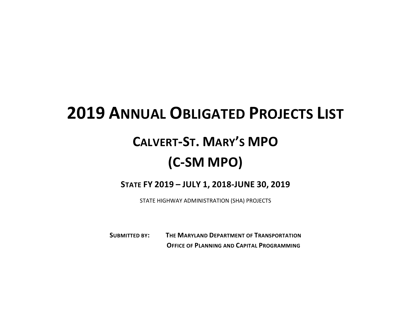## **2019 ANNUAL OBLIGATED PROJECTS LIST**

## **CALVERT-ST. MARY'S MPO (C-SM MPO)**

## **STATE FY 2019 – JULY 1, 2018-JUNE 30, 2019**

STATE HIGHWAY ADMINISTRATION (SHA) PROJECTS

**SUBMITTED BY: THE MARYLAND DEPARTMENT OF TRANSPORTATION OFFICE OF PLANNING AND CAPITAL PROGRAMMING**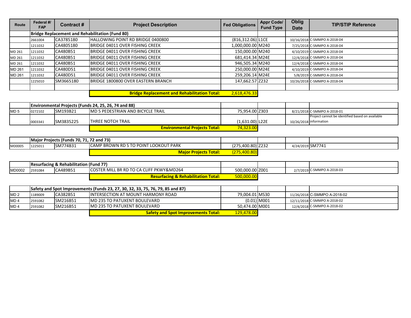| Route  | Federal #/<br><b>FAP</b>                               | Contract# | <b>Project Description</b>                          | <b>Fed Obligations</b> | <b>Appr Code/</b><br><b>Fund Type</b> | <b>Oblig</b><br>Date | <b>TIP/STIP Reference</b>    |
|--------|--------------------------------------------------------|-----------|-----------------------------------------------------|------------------------|---------------------------------------|----------------------|------------------------------|
|        | <b>Bridge Replacement and Rehabilitation (Fund 80)</b> |           |                                                     |                        |                                       |                      |                              |
|        | 2661004                                                | CA3785180 | HALLOWING POINT RD BRIDGE 0400800                   | $(816, 312.06)$ L1CE   |                                       |                      | 10/16/2018 C-SMMPO A-2018-04 |
|        | 1211032                                                | CA4805180 | BRIDGE 04011 OVER FISHING CREEK                     | 1,000,000.00 M240      |                                       |                      | 7/25/2018 C-SMMPO A-2018-04  |
| MD 261 | 1211032                                                | CA480B51  | BRIDGE 04011 OVER FISHING CREEK                     | 150,000.00 M240        |                                       |                      | 4/10/2019 C-SMMPO A-2018-04  |
| MD 261 | 1211032                                                | CA480B51  | BRIDGE 04011 OVER FISHING CREEK                     | 681,414.34 M24E        |                                       |                      | 12/4/2018 C-SMMPO A-2018-04  |
| MD 261 | 1211032                                                | CA480B51  | BRIDGE 04011 OVER FISHING CREEK                     | 946,505.34 M240        |                                       |                      | 12/4/2018 C-SMMPO A-2018-04  |
| MD 261 | 1211032                                                | CA480D51  | BRIDGE 04011 OVER FISHING CREEK                     | 250,000.00 M24E        |                                       |                      | 4/10/2019 C-SMMPO A-2018-04  |
| MD 261 | 1211032                                                | CA480D51  | BRIDGE 04011 OVER FISHING CREEK                     | 259,206.14 M24E        |                                       |                      | 5/8/2019 C-SMMPO A-2018-04   |
|        | 1225010                                                | SM3665180 | BRIDGE 1800800 OVER EASTERN BRANCH                  | 147,662.57 Z232        |                                       |                      | 10/26/2018 C-SMMPO A-2018-04 |
|        |                                                        |           |                                                     |                        |                                       |                      |                              |
|        |                                                        |           | <b>Dridge Benlacement and Behabilitation Total:</b> | <u>CAR 176 22</u>      |                                       |                      |                              |

|                 |         | <b>Environmental Projects (Funds 24, 25, 26, 74 and 88)</b> |                                      |                   |                        |                                                 |
|-----------------|---------|-------------------------------------------------------------|--------------------------------------|-------------------|------------------------|-------------------------------------------------|
| MD <sub>5</sub> | 0272102 | <b>SM193B21</b>                                             | IMD 5 PEDESTRIAN AND BICYCLE TRAIL   | 75.954.00 Z303    |                        | 8/21/2018 C-SMMPO A-2018-01                     |
|                 |         |                                                             |                                      |                   |                        | Project cannot be identified based on available |
|                 | 0003341 | SM3835225                                                   | <b>ITHREE NOTCH TRAIL</b>            | $(1.631.00)$ L22E | 10/26/2018 information |                                                 |
|                 |         |                                                             | <b>Environmental Projects Total:</b> | 74,323.00         |                        |                                                 |

|        | Major Projects (Funds 70, 71, 72 and 73) |          |                                               |                   |                  |  |
|--------|------------------------------------------|----------|-----------------------------------------------|-------------------|------------------|--|
| MD0005 | 1225011                                  | SM774B31 | <b>ICAMP BROWN RD S TO POINT LOOKOUT PARK</b> | (275,400.80) Z232 | 4/24/2019 SM7741 |  |
|        |                                          |          | <b>Maior Projects Total:</b>                  | (275,400.80)      |                  |  |

|        |         | <b>Resurfacing &amp; Rehabilitation (Fund 77)</b> |                                                |                 |  |                            |
|--------|---------|---------------------------------------------------|------------------------------------------------|-----------------|--|----------------------------|
| MD0002 | 2591084 | CA489B51                                          | COSTER MILL BR RD TO CA CLIFF PKWY&MD264       | 500,000.00 Z001 |  | 2/7/2019 C-SMMPO A-2018-03 |
|        |         |                                                   | <b>Resurfacing &amp; Rehabilitation Total:</b> | 500,000.00      |  |                            |

|                 |         | Safety and Spot Improvements (Funds 23, 27, 30, 32, 33, 75, 76, 79, 85 and 87) |                                            |                |  |                              |
|-----------------|---------|--------------------------------------------------------------------------------|--------------------------------------------|----------------|--|------------------------------|
| MD <sub>2</sub> | 1189009 | CA382B51                                                                       | <b>IINTERSECTION AT MOUNT HARMONY ROAD</b> | 79.004.01 MS30 |  | 11/26/2018 C-SMMPO A-2018-02 |
| MD <sub>4</sub> | 2591082 | <b>SM216B51</b>                                                                | IMD 235 TO PATUXENT BOULEVARD              | $(0.01)$ M001  |  | 12/11/2018 C-SMMPO A-2018-02 |
| MD <sub>4</sub> | 2591082 | <b>SM216B51</b>                                                                | IMD 235 TO PATUXENT BOULEVARD              | 50.474.00 M001 |  | 12/4/2018 C-SMMPO A-2018-02  |
|                 |         |                                                                                | <b>Safety and Spot Improvements Total:</b> | 129,478.00     |  |                              |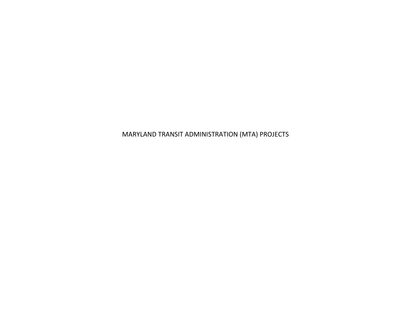MARYLAND TRANSIT ADMINISTRATION (MTA) PROJECTS